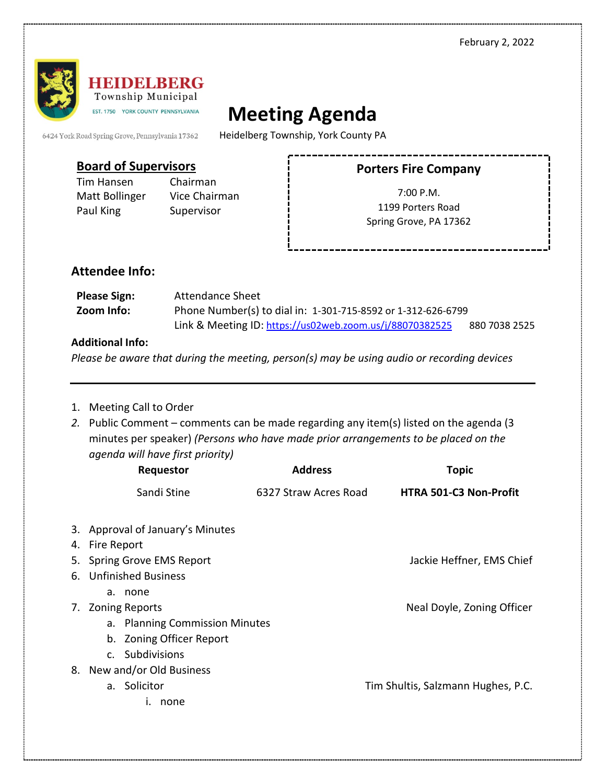

# **Meeting Agenda**

6424 York Road Spring Grove, Pennsylvania 17362

Heidelberg Township, York County PA

### **Board of Supervisors**

Tim Hansen Chairman Matt Bollinger Vice Chairman Paul King Supervisor

# **Porters Fire Company**

7:00 P.M. 1199 Porters Road Spring Grove, PA 17362

## **Attendee Info:**

| <b>Please Sign:</b> | Attendance Sheet                                             |               |  |
|---------------------|--------------------------------------------------------------|---------------|--|
| Zoom Info:          | Phone Number(s) to dial in: 1-301-715-8592 or 1-312-626-6799 |               |  |
|                     | Link & Meeting ID: https://us02web.zoom.us/j/88070382525     | 880 7038 2525 |  |

#### **Additional Info:**

*Please be aware that during the meeting, person(s) may be using audio or recording devices*

- 1. Meeting Call to Order
- *2.* Public Comment comments can be made regarding any item(s) listed on the agenda (3 minutes per speaker) *(Persons who have made prior arrangements to be placed on the agenda will have first priority)*

| Requestor                        | <b>Address</b>        | <b>Topic</b>                       |  |  |
|----------------------------------|-----------------------|------------------------------------|--|--|
| Sandi Stine                      | 6327 Straw Acres Road | <b>HTRA 501-C3 Non-Profit</b>      |  |  |
| 3. Approval of January's Minutes |                       |                                    |  |  |
| 4. Fire Report                   |                       |                                    |  |  |
| 5. Spring Grove EMS Report       |                       | Jackie Heffner, EMS Chief          |  |  |
| 6. Unfinished Business           |                       |                                    |  |  |
| a. none                          |                       |                                    |  |  |
| 7. Zoning Reports                |                       | Neal Doyle, Zoning Officer         |  |  |
| a. Planning Commission Minutes   |                       |                                    |  |  |
| b. Zoning Officer Report         |                       |                                    |  |  |
| c. Subdivisions                  |                       |                                    |  |  |
| 8. New and/or Old Business       |                       |                                    |  |  |
| a. Solicitor                     |                       | Tim Shultis, Salzmann Hughes, P.C. |  |  |
| none                             |                       |                                    |  |  |